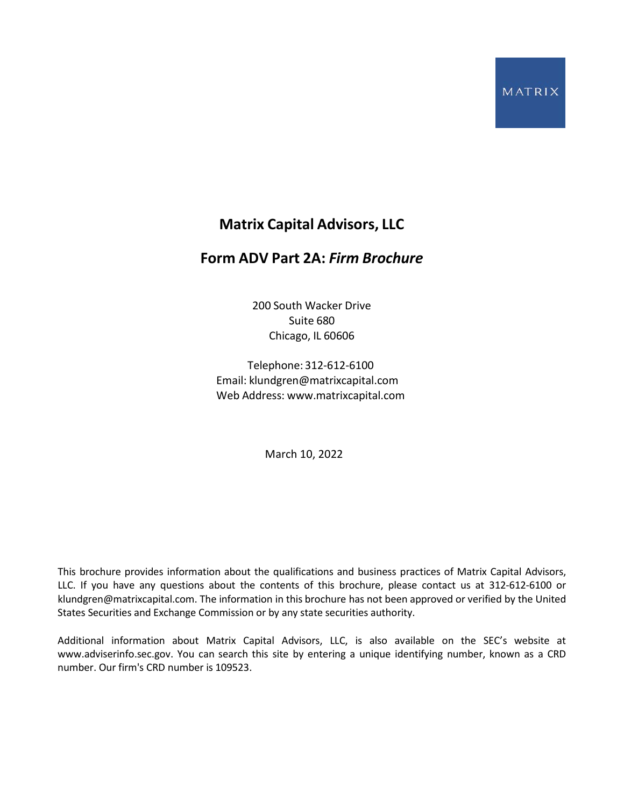# **Matrix Capital Advisors, LLC**

# <span id="page-0-0"></span>**Form ADV Part 2A:** *Firm Brochure*

200 South Wacker Drive Suite 680 Chicago, IL 60606

Telephone: 312-612-6100 Email: [klundgren@matrixcapital.com](mailto:klundgren@matrixcapital.com) Web Address: [www.matrixcapital.com](http://www.matrixcapital.com/)

March 10, 2022

This brochure provides information about the qualifications and business practices of Matrix Capital Advisors, LLC. If you have any questions about the contents of this brochure, please contact us at 312-612-6100 o[r](mailto:klundgren@matrixcapital.com) [klundgren@matrixcapital.com.](mailto:klundgren@matrixcapital.com) The information in this brochure has not been approved or verified by the United States Securities and Exchange Commission or by any state securities authority.

Additional information about Matrix Capital Advisors, LLC, is also available on the SEC's website at [www.adviserinfo.sec.gov.](http://www.adviserinfo.sec.gov/) You can search this site by entering a unique identifying number, known as a CRD number. Our firm's CRD number is 109523.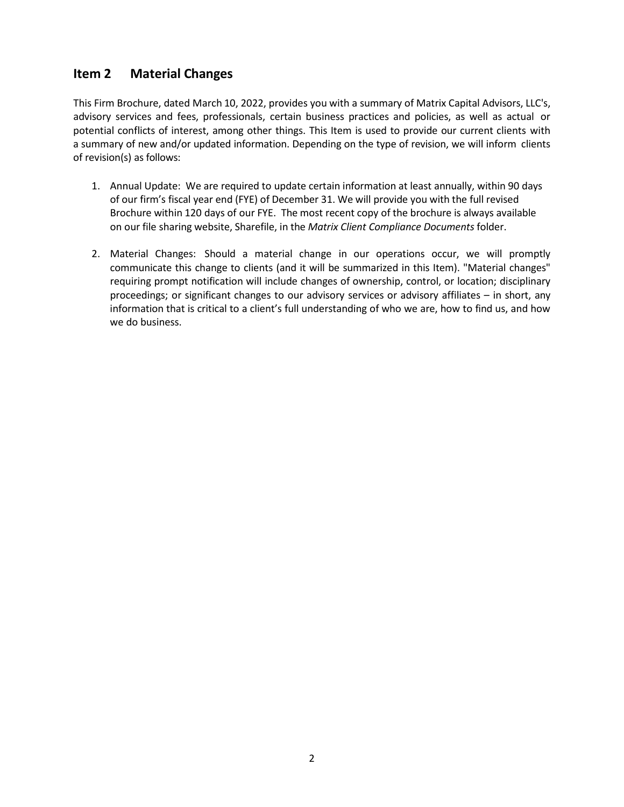## <span id="page-1-0"></span>**Item 2 Material Changes**

This Firm Brochure, dated March 10, 2022, provides you with a summary of Matrix Capital Advisors, LLC's, advisory services and fees, professionals, certain business practices and policies, as well as actual or potential conflicts of interest, among other things. This Item is used to provide our current clients with a summary of new and/or updated information. Depending on the type of revision, we will inform clients of revision(s) as follows:

- 1. Annual Update: We are required to update certain information at least annually, within 90 days of our firm's fiscal year end (FYE) of December 31. We will provide you with the full revised Brochure within 120 days of our FYE. The most recent copy of the brochure is always available on our file sharing website, Sharefile, in the *Matrix Client Compliance Documents* folder.
- 2. Material Changes: Should a material change in our operations occur, we will promptly communicate this change to clients (and it will be summarized in this Item). "Material changes" requiring prompt notification will include changes of ownership, control, or location; disciplinary proceedings; or significant changes to our advisory services or advisory affiliates – in short, any information that is critical to a client's full understanding of who we are, how to find us, and how we do business.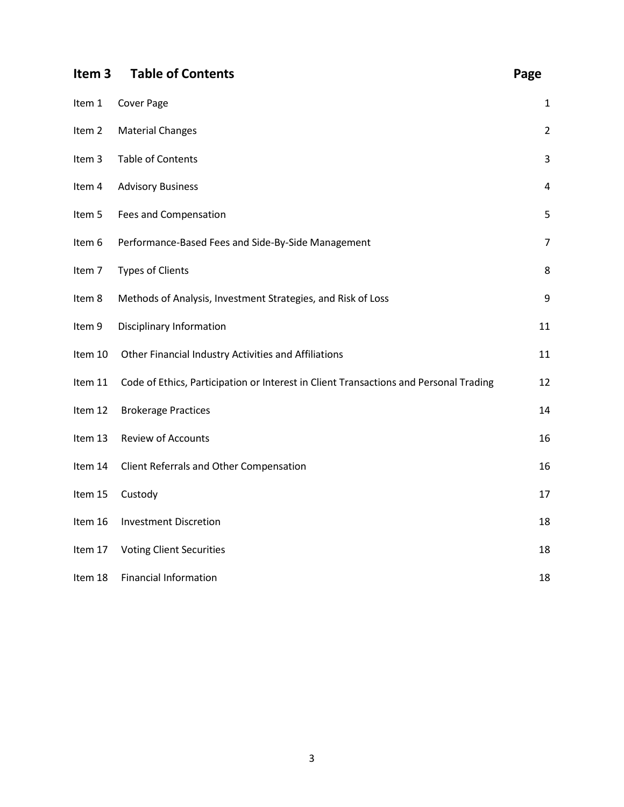<span id="page-2-0"></span>

| Item <sub>3</sub> | <b>Table of Contents</b>                                                              | Page           |
|-------------------|---------------------------------------------------------------------------------------|----------------|
| Item 1            | <b>Cover Page</b>                                                                     | 1              |
| Item 2            | <b>Material Changes</b>                                                               | $\overline{2}$ |
| Item 3            | <b>Table of Contents</b>                                                              | 3              |
| Item 4            | <b>Advisory Business</b>                                                              | 4              |
| Item 5            | Fees and Compensation                                                                 | 5              |
| Item 6            | Performance-Based Fees and Side-By-Side Management                                    | $\overline{7}$ |
| Item 7            | <b>Types of Clients</b>                                                               | 8              |
| Item 8            | Methods of Analysis, Investment Strategies, and Risk of Loss                          | 9              |
| Item 9            | Disciplinary Information                                                              | 11             |
| Item 10           | Other Financial Industry Activities and Affiliations                                  | 11             |
| Item 11           | Code of Ethics, Participation or Interest in Client Transactions and Personal Trading | 12             |
| Item 12           | <b>Brokerage Practices</b>                                                            | 14             |
| Item 13           | <b>Review of Accounts</b>                                                             | 16             |
| Item 14           | Client Referrals and Other Compensation                                               | 16             |
| Item 15           | Custody                                                                               | 17             |
| Item 16           | <b>Investment Discretion</b>                                                          | 18             |
| Item 17           | <b>Voting Client Securities</b>                                                       | 18             |
| Item 18           | Financial Information                                                                 | 18             |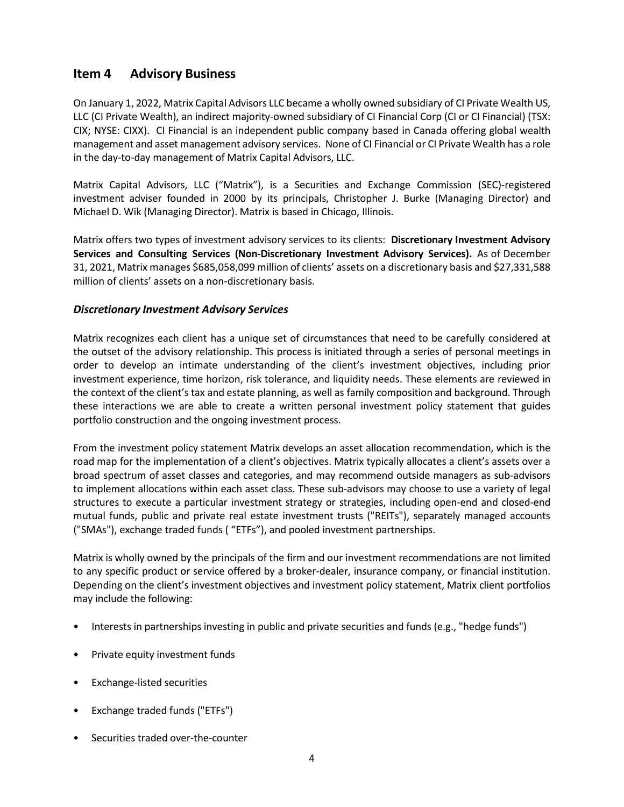### <span id="page-3-0"></span>**Item 4 Advisory Business**

On January 1, 2022, Matrix Capital Advisors LLC became a wholly owned subsidiary of CI Private Wealth US, LLC (CI Private Wealth), an indirect majority-owned subsidiary of CI Financial Corp (CI or CI Financial) (TSX: CIX; NYSE: CIXX). CI Financial is an independent public company based in Canada offering global wealth management and asset management advisory services. None of CI Financial or CI Private Wealth has a role in the day-to-day management of Matrix Capital Advisors, LLC.

Matrix Capital Advisors, LLC ("Matrix"), is a Securities and Exchange Commission (SEC)-registered investment adviser founded in 2000 by its principals, Christopher J. Burke (Managing Director) and Michael D. Wik (Managing Director). Matrix is based in Chicago, Illinois.

Matrix offers two types of investment advisory services to its clients: **Discretionary Investment Advisory Services and Consulting Services (Non-Discretionary Investment Advisory Services).** As of December 31, 2021, Matrix manages \$685,058,099 million of clients' assets on a discretionary basis and \$27,331,588 million of clients' assets on a non-discretionary basis.

### *Discretionary Investment Advisory Services*

Matrix recognizes each client has a unique set of circumstances that need to be carefully considered at the outset of the advisory relationship. This process is initiated through a series of personal meetings in order to develop an intimate understanding of the client's investment objectives, including prior investment experience, time horizon, risk tolerance, and liquidity needs. These elements are reviewed in the context of the client's tax and estate planning, as well as family composition and background. Through these interactions we are able to create a written personal investment policy statement that guides portfolio construction and the ongoing investment process.

From the investment policy statement Matrix develops an asset allocation recommendation, which is the road map for the implementation of a client's objectives. Matrix typically allocates a client's assets over a broad spectrum of asset classes and categories, and may recommend outside managers as sub-advisors to implement allocations within each asset class. These sub-advisors may choose to use a variety of legal structures to execute a particular investment strategy or strategies, including open-end and closed-end mutual funds, public and private real estate investment trusts ("REITs"), separately managed accounts ("SMAs"), exchange traded funds ( "ETFs"), and pooled investment partnerships.

Matrix is wholly owned by the principals of the firm and our investment recommendations are not limited to any specific product or service offered by a broker-dealer, insurance company, or financial institution. Depending on the client's investment objectives and investment policy statement, Matrix client portfolios may include the following:

- Interests in partnerships investing in public and private securities and funds (e.g., "hedge funds")
- Private equity investment funds
- Exchange-listed securities
- Exchange traded funds ("ETFs")
- Securities traded over-the-counter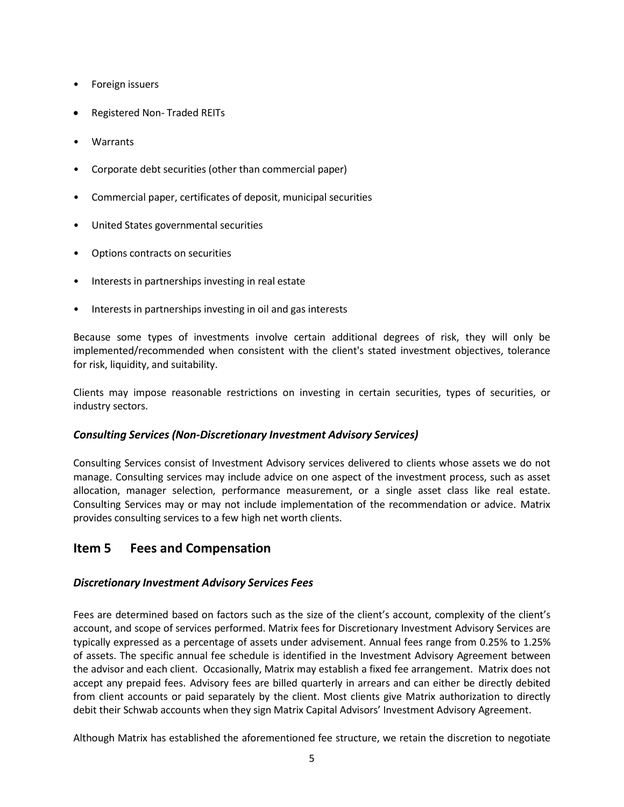- Foreign issuers
- Registered Non- Traded REITs
- Warrants
- Corporate debt securities (other than commercial paper)
- Commercial paper, certificates of deposit, municipal securities
- United States governmental securities
- Options contracts on securities
- Interests in partnerships investing in real estate
- Interests in partnerships investing in oil and gas interests

Because some types of investments involve certain additional degrees of risk, they will only be implemented/recommended when consistent with the client's stated investment objectives, tolerance for risk, liquidity, and suitability.

Clients may impose reasonable restrictions on investing in certain securities, types of securities, or industry sectors.

### *Consulting Services (Non-Discretionary Investment Advisory Services)*

Consulting Services consist of Investment Advisory services delivered to clients whose assets we do not manage. Consulting services may include advice on one aspect of the investment process, such as asset allocation, manager selection, performance measurement, or a single asset class like real estate. Consulting Services may or may not include implementation of the recommendation or advice. Matrix provides consulting services to a few high net worth clients.

### <span id="page-4-0"></span>**Item 5 Fees and Compensation**

### *Discretionary Investment Advisory Services Fees*

Fees are determined based on factors such as the size of the client's account, complexity of the client's account, and scope of services performed. Matrix fees for Discretionary Investment Advisory Services are typically expressed as a percentage of assets under advisement. Annual fees range from 0.25% to 1.25% of assets. The specific annual fee schedule is identified in the Investment Advisory Agreement between the advisor and each client. Occasionally, Matrix may establish a fixed fee arrangement. Matrix does not accept any prepaid fees. Advisory fees are billed quarterly in arrears and can either be directly debited from client accounts or paid separately by the client. Most clients give Matrix authorization to directly debit their Schwab accounts when they sign Matrix Capital Advisors' Investment Advisory Agreement.

Although Matrix has established the aforementioned fee structure, we retain the discretion to negotiate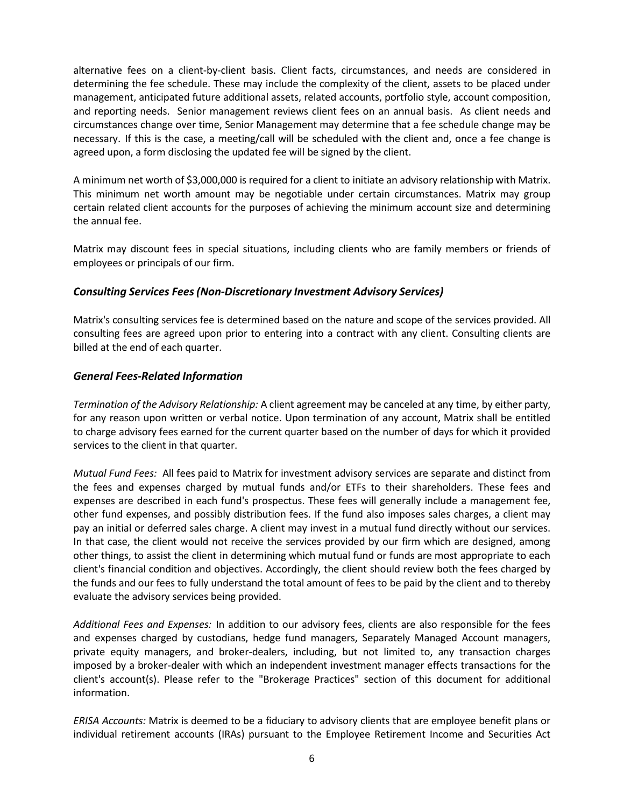alternative fees on a client-by-client basis. Client facts, circumstances, and needs are considered in determining the fee schedule. These may include the complexity of the client, assets to be placed under management, anticipated future additional assets, related accounts, portfolio style, account composition, and reporting needs. Senior management reviews client fees on an annual basis. As client needs and circumstances change over time, Senior Management may determine that a fee schedule change may be necessary. If this is the case, a meeting/call will be scheduled with the client and, once a fee change is agreed upon, a form disclosing the updated fee will be signed by the client.

A minimum net worth of \$3,000,000 is required for a client to initiate an advisory relationship with Matrix. This minimum net worth amount may be negotiable under certain circumstances. Matrix may group certain related client accounts for the purposes of achieving the minimum account size and determining the annual fee.

Matrix may discount fees in special situations, including clients who are family members or friends of employees or principals of our firm.

### *Consulting Services Fees(Non-Discretionary Investment Advisory Services)*

Matrix's consulting services fee is determined based on the nature and scope of the services provided. All consulting fees are agreed upon prior to entering into a contract with any client. Consulting clients are billed at the end of each quarter.

#### *General Fees-Related Information*

*Termination of the Advisory Relationship:* A client agreement may be canceled at any time, by either party, for any reason upon written or verbal notice. Upon termination of any account, Matrix shall be entitled to charge advisory fees earned for the current quarter based on the number of days for which it provided services to the client in that quarter.

*Mutual Fund Fees:* All fees paid to Matrix for investment advisory services are separate and distinct from the fees and expenses charged by mutual funds and/or ETFs to their shareholders. These fees and expenses are described in each fund's prospectus. These fees will generally include a management fee, other fund expenses, and possibly distribution fees. If the fund also imposes sales charges, a client may pay an initial or deferred sales charge. A client may invest in a mutual fund directly without our services. In that case, the client would not receive the services provided by our firm which are designed, among other things, to assist the client in determining which mutual fund or funds are most appropriate to each client's financial condition and objectives. Accordingly, the client should review both the fees charged by the funds and our fees to fully understand the total amount of fees to be paid by the client and to thereby evaluate the advisory services being provided.

*Additional Fees and Expenses:* In addition to our advisory fees, clients are also responsible for the fees and expenses charged by custodians, hedge fund managers, Separately Managed Account managers, private equity managers, and broker-dealers, including, but not limited to, any transaction charges imposed by a broker-dealer with which an independent investment manager effects transactions for the client's account(s). Please refer to the "Brokerage Practices" section of this document for additional information.

*ERISA Accounts:* Matrix is deemed to be a fiduciary to advisory clients that are employee benefit plans or individual retirement accounts (IRAs) pursuant to the Employee Retirement Income and Securities Act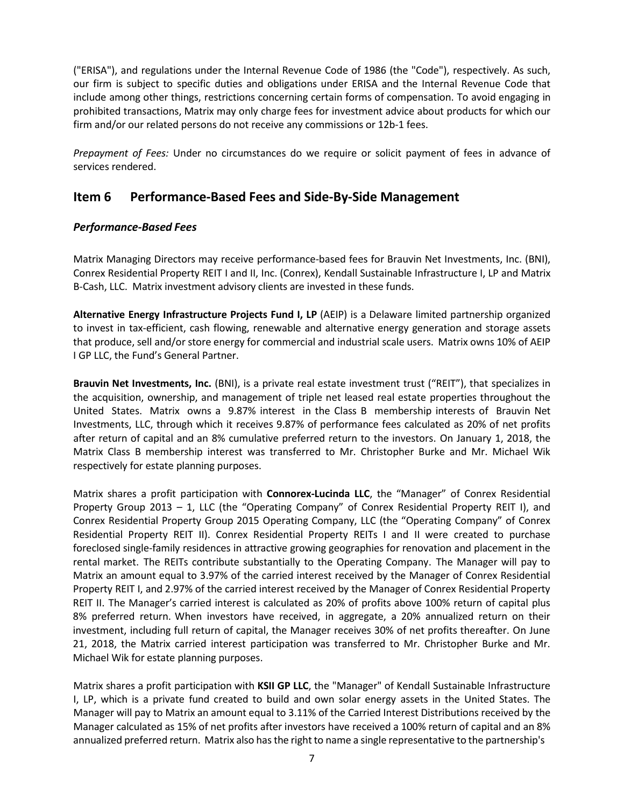("ERISA"), and regulations under the Internal Revenue Code of 1986 (the "Code"), respectively. As such, our firm is subject to specific duties and obligations under ERISA and the Internal Revenue Code that include among other things, restrictions concerning certain forms of compensation. To avoid engaging in prohibited transactions, Matrix may only charge fees for investment advice about products for which our firm and/or our related persons do not receive any commissions or 12b-1 fees.

*Prepayment of Fees:* Under no circumstances do we require or solicit payment of fees in advance of services rendered.

## <span id="page-6-0"></span>**Item 6 Performance-Based Fees and Side-By-Side Management**

### *Performance-Based Fees*

Matrix Managing Directors may receive performance-based fees for Brauvin Net Investments, Inc. (BNI), Conrex Residential Property REIT I and II, Inc. (Conrex), Kendall Sustainable Infrastructure I, LP and Matrix B-Cash, LLC. Matrix investment advisory clients are invested in these funds.

**Alternative Energy Infrastructure Projects Fund I, LP** (AEIP) is a Delaware limited partnership organized to invest in tax-efficient, cash flowing, renewable and alternative energy generation and storage assets that produce, sell and/or store energy for commercial and industrial scale users. Matrix owns 10% of AEIP I GP LLC, the Fund's General Partner.

**Brauvin Net Investments, Inc.** (BNI), is a private real estate investment trust ("REIT"), that specializes in the acquisition, ownership, and management of triple net leased real estate properties throughout the United States. Matrix owns a 9.87% interest in the Class B membership interests of Brauvin Net Investments, LLC, through which it receives 9.87% of performance fees calculated as 20% of net profits after return of capital and an 8% cumulative preferred return to the investors. On January 1, 2018, the Matrix Class B membership interest was transferred to Mr. Christopher Burke and Mr. Michael Wik respectively for estate planning purposes.

Matrix shares a profit participation with **Connorex-Lucinda LLC**, the "Manager" of Conrex Residential Property Group 2013 – 1, LLC (the "Operating Company" of Conrex Residential Property REIT I), and Conrex Residential Property Group 2015 Operating Company, LLC (the "Operating Company" of Conrex Residential Property REIT II). Conrex Residential Property REITs I and II were created to purchase foreclosed single-family residences in attractive growing geographies for renovation and placement in the rental market. The REITs contribute substantially to the Operating Company. The Manager will pay to Matrix an amount equal to 3.97% of the carried interest received by the Manager of Conrex Residential Property REIT I, and 2.97% of the carried interest received by the Manager of Conrex Residential Property REIT II. The Manager's carried interest is calculated as 20% of profits above 100% return of capital plus 8% preferred return. When investors have received, in aggregate, a 20% annualized return on their investment, including full return of capital, the Manager receives 30% of net profits thereafter. On June 21, 2018, the Matrix carried interest participation was transferred to Mr. Christopher Burke and Mr. Michael Wik for estate planning purposes.

Matrix shares a profit participation with **KSII GP LLC**, the "Manager" of Kendall Sustainable Infrastructure I, LP, which is a private fund created to build and own solar energy assets in the United States. The Manager will pay to Matrix an amount equal to 3.11% of the Carried Interest Distributions received by the Manager calculated as 15% of net profits after investors have received a 100% return of capital and an 8% annualized preferred return. Matrix also has the right to name a single representative to the partnership's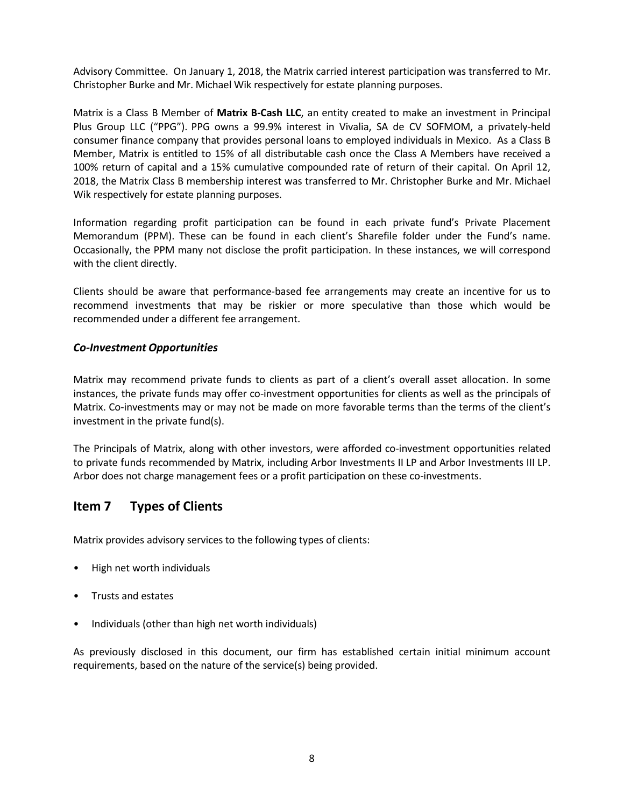Advisory Committee. On January 1, 2018, the Matrix carried interest participation was transferred to Mr. Christopher Burke and Mr. Michael Wik respectively for estate planning purposes.

Matrix is a Class B Member of **Matrix B-Cash LLC**, an entity created to make an investment in Principal Plus Group LLC ("PPG"). PPG owns a 99.9% interest in Vivalia, SA de CV SOFMOM, a privately-held consumer finance company that provides personal loans to employed individuals in Mexico. As a Class B Member, Matrix is entitled to 15% of all distributable cash once the Class A Members have received a 100% return of capital and a 15% cumulative compounded rate of return of their capital. On April 12, 2018, the Matrix Class B membership interest was transferred to Mr. Christopher Burke and Mr. Michael Wik respectively for estate planning purposes.

Information regarding profit participation can be found in each private fund's Private Placement Memorandum (PPM). These can be found in each client's Sharefile folder under the Fund's name. Occasionally, the PPM many not disclose the profit participation. In these instances, we will correspond with the client directly.

Clients should be aware that performance-based fee arrangements may create an incentive for us to recommend investments that may be riskier or more speculative than those which would be recommended under a different fee arrangement.

### *Co-Investment Opportunities*

Matrix may recommend private funds to clients as part of a client's overall asset allocation. In some instances, the private funds may offer co-investment opportunities for clients as well as the principals of Matrix. Co-investments may or may not be made on more favorable terms than the terms of the client's investment in the private fund(s).

The Principals of Matrix, along with other investors, were afforded co-investment opportunities related to private funds recommended by Matrix, including Arbor Investments II LP and Arbor Investments III LP. Arbor does not charge management fees or a profit participation on these co-investments.

## <span id="page-7-0"></span>**Item 7 Types of Clients**

Matrix provides advisory services to the following types of clients:

- High net worth individuals
- Trusts and estates
- Individuals (other than high net worth individuals)

As previously disclosed in this document, our firm has established certain initial minimum account requirements, based on the nature of the service(s) being provided.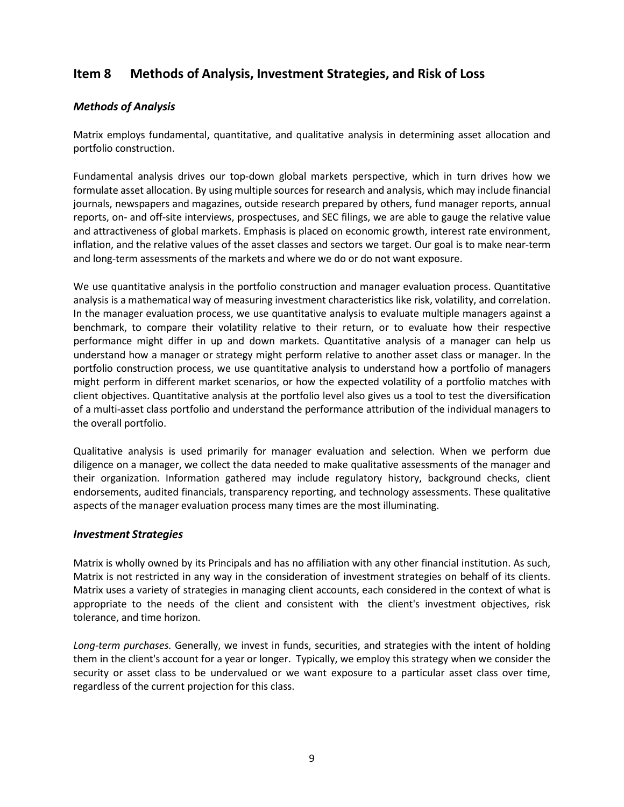## <span id="page-8-0"></span>**Item 8 Methods of Analysis, Investment Strategies, and Risk of Loss**

### *Methods of Analysis*

Matrix employs fundamental, quantitative, and qualitative analysis in determining asset allocation and portfolio construction.

Fundamental analysis drives our top-down global markets perspective, which in turn drives how we formulate asset allocation. By using multiple sources for research and analysis, which may include financial journals, newspapers and magazines, outside research prepared by others, fund manager reports, annual reports, on- and off-site interviews, prospectuses, and SEC filings, we are able to gauge the relative value and attractiveness of global markets. Emphasis is placed on economic growth, interest rate environment, inflation, and the relative values of the asset classes and sectors we target. Our goal is to make near-term and long-term assessments of the markets and where we do or do not want exposure.

We use quantitative analysis in the portfolio construction and manager evaluation process. Quantitative analysis is a mathematical way of measuring investment characteristics like risk, volatility, and correlation. In the manager evaluation process, we use quantitative analysis to evaluate multiple managers against a benchmark, to compare their volatility relative to their return, or to evaluate how their respective performance might differ in up and down markets. Quantitative analysis of a manager can help us understand how a manager or strategy might perform relative to another asset class or manager. In the portfolio construction process, we use quantitative analysis to understand how a portfolio of managers might perform in different market scenarios, or how the expected volatility of a portfolio matches with client objectives. Quantitative analysis at the portfolio level also gives us a tool to test the diversification of a multi-asset class portfolio and understand the performance attribution of the individual managers to the overall portfolio.

Qualitative analysis is used primarily for manager evaluation and selection. When we perform due diligence on a manager, we collect the data needed to make qualitative assessments of the manager and their organization. Information gathered may include regulatory history, background checks, client endorsements, audited financials, transparency reporting, and technology assessments. These qualitative aspects of the manager evaluation process many times are the most illuminating.

#### *Investment Strategies*

Matrix is wholly owned by its Principals and has no affiliation with any other financial institution. As such, Matrix is not restricted in any way in the consideration of investment strategies on behalf of its clients. Matrix uses a variety of strategies in managing client accounts, each considered in the context of what is appropriate to the needs of the client and consistent with the client's investment objectives, risk tolerance, and time horizon.

*Long-term purchases.* Generally, we invest in funds, securities, and strategies with the intent of holding them in the client's account for a year or longer. Typically, we employ this strategy when we consider the security or asset class to be undervalued or we want exposure to a particular asset class over time, regardless of the current projection for this class.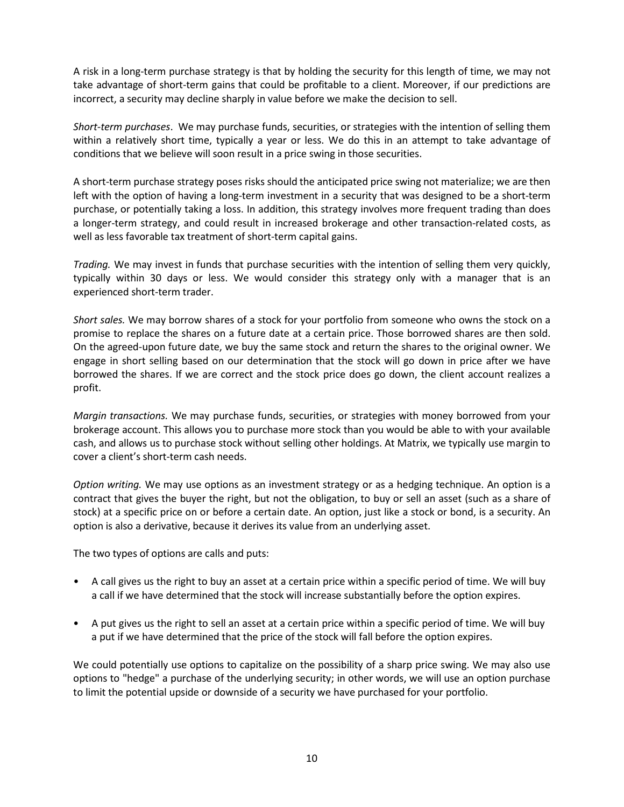A risk in a long-term purchase strategy is that by holding the security for this length of time, we may not take advantage of short-term gains that could be profitable to a client. Moreover, if our predictions are incorrect, a security may decline sharply in value before we make the decision to sell.

*Short-term purchases*. We may purchase funds, securities, or strategies with the intention of selling them within a relatively short time, typically a year or less. We do this in an attempt to take advantage of conditions that we believe will soon result in a price swing in those securities.

A short-term purchase strategy poses risks should the anticipated price swing not materialize; we are then left with the option of having a long-term investment in a security that was designed to be a short-term purchase, or potentially taking a loss. In addition, this strategy involves more frequent trading than does a longer-term strategy, and could result in increased brokerage and other transaction-related costs, as well as less favorable tax treatment of short-term capital gains.

*Trading.* We may invest in funds that purchase securities with the intention of selling them very quickly, typically within 30 days or less. We would consider this strategy only with a manager that is an experienced short-term trader.

*Short sales.* We may borrow shares of a stock for your portfolio from someone who owns the stock on a promise to replace the shares on a future date at a certain price. Those borrowed shares are then sold. On the agreed-upon future date, we buy the same stock and return the shares to the original owner. We engage in short selling based on our determination that the stock will go down in price after we have borrowed the shares. If we are correct and the stock price does go down, the client account realizes a profit.

*Margin transactions.* We may purchase funds, securities, or strategies with money borrowed from your brokerage account. This allows you to purchase more stock than you would be able to with your available cash, and allows us to purchase stock without selling other holdings. At Matrix, we typically use margin to cover a client's short-term cash needs.

*Option writing.* We may use options as an investment strategy or as a hedging technique. An option is a contract that gives the buyer the right, but not the obligation, to buy or sell an asset (such as a share of stock) at a specific price on or before a certain date. An option, just like a stock or bond, is a security. An option is also a derivative, because it derives its value from an underlying asset.

The two types of options are calls and puts:

- A call gives us the right to buy an asset at a certain price within a specific period of time. We will buy a call if we have determined that the stock will increase substantially before the option expires.
- A put gives us the right to sell an asset at a certain price within a specific period of time. We will buy a put if we have determined that the price of the stock will fall before the option expires.

We could potentially use options to capitalize on the possibility of a sharp price swing. We may also use options to "hedge" a purchase of the underlying security; in other words, we will use an option purchase to limit the potential upside or downside of a security we have purchased for your portfolio.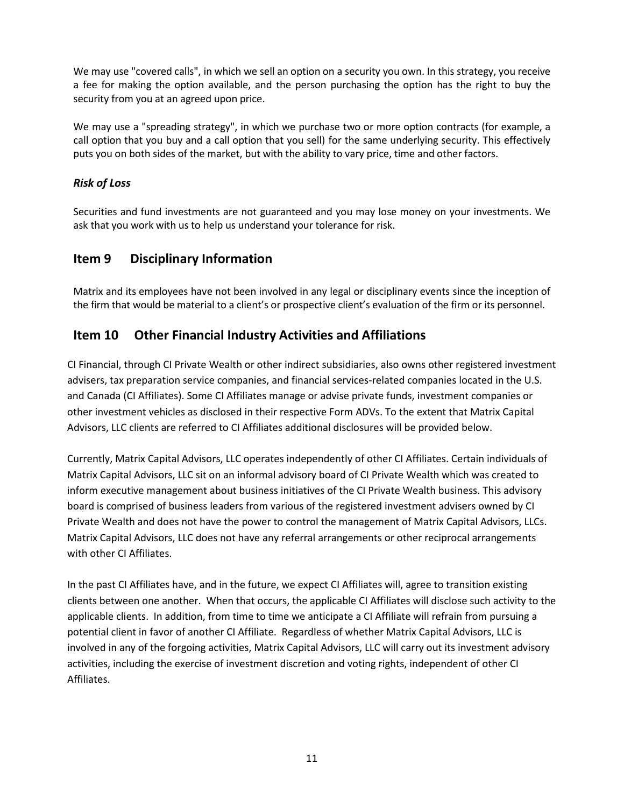We may use "covered calls", in which we sell an option on a security you own. In this strategy, you receive a fee for making the option available, and the person purchasing the option has the right to buy the security from you at an agreed upon price.

We may use a "spreading strategy", in which we purchase two or more option contracts (for example, a call option that you buy and a call option that you sell) for the same underlying security. This effectively puts you on both sides of the market, but with the ability to vary price, time and other factors.

### *Risk of Loss*

Securities and fund investments are not guaranteed and you may lose money on your investments. We ask that you work with us to help us understand your tolerance for risk.

## <span id="page-10-0"></span>**Item 9 Disciplinary Information**

Matrix and its employees have not been involved in any legal or disciplinary events since the inception of the firm that would be material to a client's or prospective client's evaluation of the firm or its personnel.

## <span id="page-10-1"></span>**Item 10 Other Financial Industry Activities and Affiliations**

CI Financial, through CI Private Wealth or other indirect subsidiaries, also owns other registered investment advisers, tax preparation service companies, and financial services-related companies located in the U.S. and Canada (CI Affiliates). Some CI Affiliates manage or advise private funds, investment companies or other investment vehicles as disclosed in their respective Form ADVs. To the extent that Matrix Capital Advisors, LLC clients are referred to CI Affiliates additional disclosures will be provided below.

Currently, Matrix Capital Advisors, LLC operates independently of other CI Affiliates. Certain individuals of Matrix Capital Advisors, LLC sit on an informal advisory board of CI Private Wealth which was created to inform executive management about business initiatives of the CI Private Wealth business. This advisory board is comprised of business leaders from various of the registered investment advisers owned by CI Private Wealth and does not have the power to control the management of Matrix Capital Advisors, LLCs. Matrix Capital Advisors, LLC does not have any referral arrangements or other reciprocal arrangements with other CI Affiliates.

In the past CI Affiliates have, and in the future, we expect CI Affiliates will, agree to transition existing clients between one another. When that occurs, the applicable CI Affiliates will disclose such activity to the applicable clients. In addition, from time to time we anticipate a CI Affiliate will refrain from pursuing a potential client in favor of another CI Affiliate. Regardless of whether Matrix Capital Advisors, LLC is involved in any of the forgoing activities, Matrix Capital Advisors, LLC will carry out its investment advisory activities, including the exercise of investment discretion and voting rights, independent of other CI Affiliates.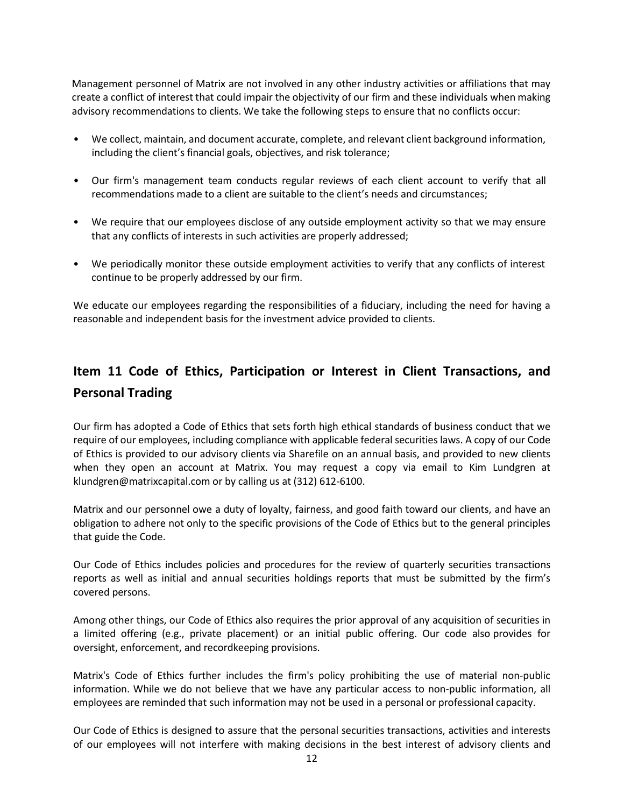Management personnel of Matrix are not involved in any other industry activities or affiliations that may create a conflict of interest that could impair the objectivity of our firm and these individuals when making advisory recommendations to clients. We take the following steps to ensure that no conflicts occur:

- We collect, maintain, and document accurate, complete, and relevant client background information, including the client's financial goals, objectives, and risk tolerance;
- Our firm's management team conducts regular reviews of each client account to verify that all recommendations made to a client are suitable to the client's needs and circumstances;
- We require that our employees disclose of any outside employment activity so that we may ensure that any conflicts of interests in such activities are properly addressed;
- We periodically monitor these outside employment activities to verify that any conflicts of interest continue to be properly addressed by our firm.

We educate our employees regarding the responsibilities of a fiduciary, including the need for having a reasonable and independent basis for the investment advice provided to clients.

# <span id="page-11-0"></span>**Item 11 Code of Ethics, Participation or Interest in Client Transactions, and Personal Trading**

Our firm has adopted a Code of Ethics that sets forth high ethical standards of business conduct that we require of our employees, including compliance with applicable federal securities laws. A copy of our Code of Ethics is provided to our advisory clients via Sharefile on an annual basis, and provided to new clients when they open an account at Matrix. You may request a copy via email to Kim Lundgren at [klundgren@matrixcapital.com](mailto:klundgren@matrixcapital.com) or by calling us at (312) 612-6100.

Matrix and our personnel owe a duty of loyalty, fairness, and good faith toward our clients, and have an obligation to adhere not only to the specific provisions of the Code of Ethics but to the general principles that guide the Code.

Our Code of Ethics includes policies and procedures for the review of quarterly securities transactions reports as well as initial and annual securities holdings reports that must be submitted by the firm's covered persons.

Among other things, our Code of Ethics also requires the prior approval of any acquisition of securities in a limited offering (e.g., private placement) or an initial public offering. Our code also provides for oversight, enforcement, and recordkeeping provisions.

Matrix's Code of Ethics further includes the firm's policy prohibiting the use of material non-public information. While we do not believe that we have any particular access to non-public information, all employees are reminded that such information may not be used in a personal or professional capacity.

Our Code of Ethics is designed to assure that the personal securities transactions, activities and interests of our employees will not interfere with making decisions in the best interest of advisory clients and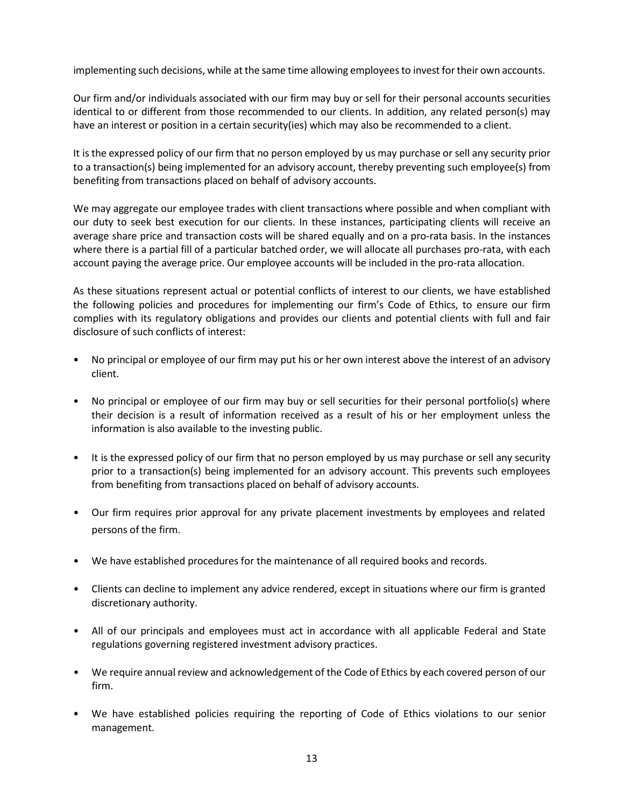implementing such decisions, while at the same time allowing employees to invest for their own accounts.

Our firm and/or individuals associated with our firm may buy or sell for their personal accounts securities identical to or different from those recommended to our clients. In addition, any related person(s) may have an interest or position in a certain security(ies) which may also be recommended to a client.

It is the expressed policy of our firm that no person employed by us may purchase orsell any security prior to a transaction(s) being implemented for an advisory account, thereby preventing such employee(s) from benefiting from transactions placed on behalf of advisory accounts.

We may aggregate our employee trades with client transactions where possible and when compliant with our duty to seek best execution for our clients. In these instances, participating clients will receive an average share price and transaction costs will be shared equally and on a pro-rata basis. In the instances where there is a partial fill of a particular batched order, we will allocate all purchases pro-rata, with each account paying the average price. Our employee accounts will be included in the pro-rata allocation.

As these situations represent actual or potential conflicts of interest to our clients, we have established the following policies and procedures for implementing our firm's Code of Ethics, to ensure our firm complies with its regulatory obligations and provides our clients and potential clients with full and fair disclosure of such conflicts of interest:

- No principal or employee of our firm may put his or her own interest above the interest of an advisory client.
- No principal or employee of our firm may buy or sell securities for their personal portfolio(s) where their decision is a result of information received as a result of his or her employment unless the information is also available to the investing public.
- It is the expressed policy of our firm that no person employed by us may purchase or sell any security prior to a transaction(s) being implemented for an advisory account. This prevents such employees from benefiting from transactions placed on behalf of advisory accounts.
- Our firm requires prior approval for any private placement investments by employees and related persons of the firm.
- We have established procedures for the maintenance of all required books and records.
- Clients can decline to implement any advice rendered, except in situations where our firm is granted discretionary authority.
- All of our principals and employees must act in accordance with all applicable Federal and State regulations governing registered investment advisory practices.
- We require annual review and acknowledgement of the Code of Ethics by each covered person of our firm.
- We have established policies requiring the reporting of Code of Ethics violations to our senior management.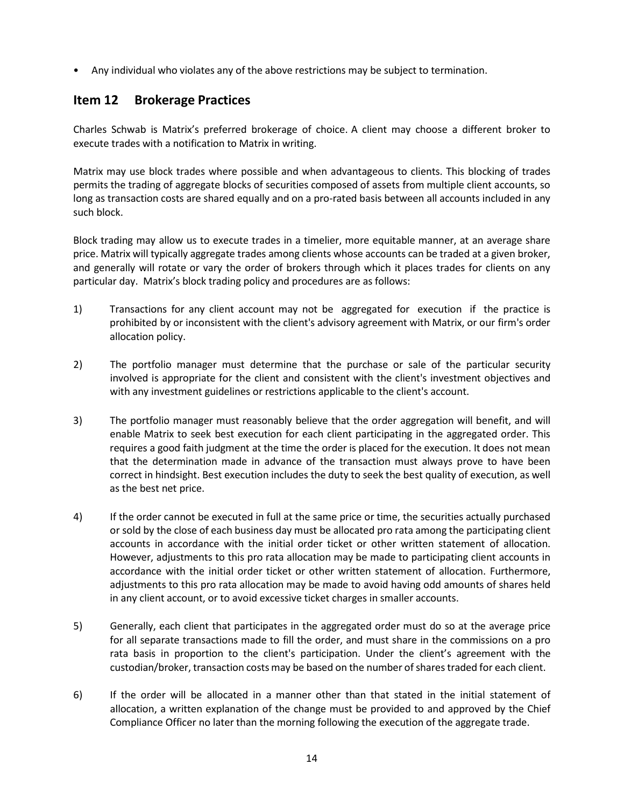• Any individual who violates any of the above restrictions may be subject to termination.

### <span id="page-13-0"></span>**Item 12 Brokerage Practices**

Charles Schwab is Matrix's preferred brokerage of choice. A client may choose a different broker to execute trades with a notification to Matrix in writing.

Matrix may use block trades where possible and when advantageous to clients. This blocking of trades permits the trading of aggregate blocks of securities composed of assets from multiple client accounts, so long as transaction costs are shared equally and on a pro-rated basis between all accounts included in any such block.

Block trading may allow us to execute trades in a timelier, more equitable manner, at an average share price. Matrix will typically aggregate trades among clients whose accounts can be traded at a given broker, and generally will rotate or vary the order of brokers through which it places trades for clients on any particular day. Matrix's block trading policy and procedures are as follows:

- 1) Transactions for any client account may not be aggregated for execution if the practice is prohibited by or inconsistent with the client's advisory agreement with Matrix, or our firm's order allocation policy.
- 2) The portfolio manager must determine that the purchase or sale of the particular security involved is appropriate for the client and consistent with the client's investment objectives and with any investment guidelines or restrictions applicable to the client's account.
- 3) The portfolio manager must reasonably believe that the order aggregation will benefit, and will enable Matrix to seek best execution for each client participating in the aggregated order. This requires a good faith judgment at the time the order is placed for the execution. It does not mean that the determination made in advance of the transaction must always prove to have been correct in hindsight. Best execution includes the duty to seek the best quality of execution, as well as the best net price.
- 4) If the order cannot be executed in full at the same price or time, the securities actually purchased or sold by the close of each business day must be allocated pro rata among the participating client accounts in accordance with the initial order ticket or other written statement of allocation. However, adjustments to this pro rata allocation may be made to participating client accounts in accordance with the initial order ticket or other written statement of allocation. Furthermore, adjustments to this pro rata allocation may be made to avoid having odd amounts of shares held in any client account, or to avoid excessive ticket charges in smaller accounts.
- 5) Generally, each client that participates in the aggregated order must do so at the average price for all separate transactions made to fill the order, and must share in the commissions on a pro rata basis in proportion to the client's participation. Under the client's agreement with the custodian/broker, transaction costs may be based on the number of shares traded for each client.
- 6) If the order will be allocated in a manner other than that stated in the initial statement of allocation, a written explanation of the change must be provided to and approved by the Chief Compliance Officer no later than the morning following the execution of the aggregate trade.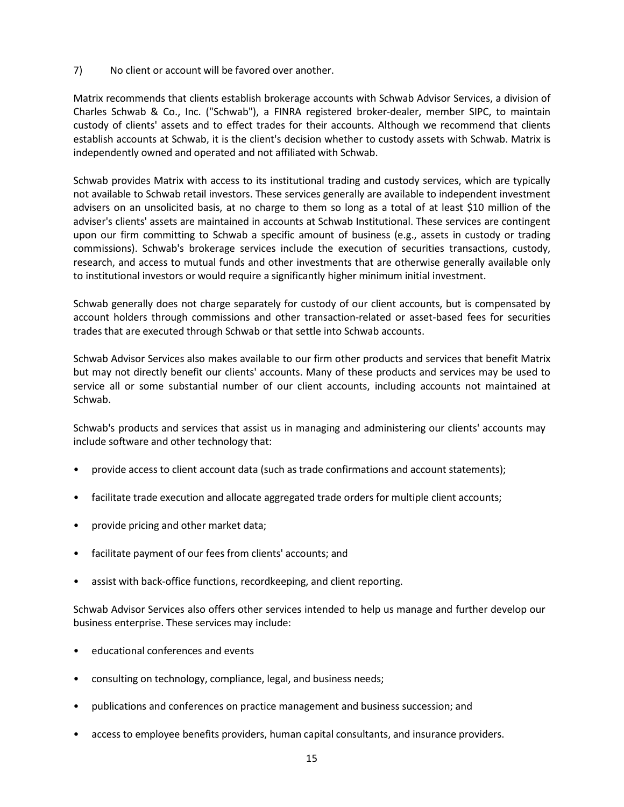7) No client or account will be favored over another.

Matrix recommends that clients establish brokerage accounts with Schwab Advisor Services, a division of Charles Schwab & Co., Inc. ("Schwab"), a FINRA registered broker-dealer, member SIPC, to maintain custody of clients' assets and to effect trades for their accounts. Although we recommend that clients establish accounts at Schwab, it is the client's decision whether to custody assets with Schwab. Matrix is independently owned and operated and not affiliated with Schwab.

Schwab provides Matrix with access to its institutional trading and custody services, which are typically not available to Schwab retail investors. These services generally are available to independent investment advisers on an unsolicited basis, at no charge to them so long as a total of at least \$10 million of the adviser's clients' assets are maintained in accounts at Schwab Institutional. These services are contingent upon our firm committing to Schwab a specific amount of business (e.g., assets in custody or trading commissions). Schwab's brokerage services include the execution of securities transactions, custody, research, and access to mutual funds and other investments that are otherwise generally available only to institutional investors or would require a significantly higher minimum initial investment.

Schwab generally does not charge separately for custody of our client accounts, but is compensated by account holders through commissions and other transaction-related or asset-based fees for securities trades that are executed through Schwab or that settle into Schwab accounts.

Schwab Advisor Services also makes available to our firm other products and services that benefit Matrix but may not directly benefit our clients' accounts. Many of these products and services may be used to service all or some substantial number of our client accounts, including accounts not maintained at Schwab.

Schwab's products and services that assist us in managing and administering our clients' accounts may include software and other technology that:

- provide access to client account data (such as trade confirmations and account statements);
- facilitate trade execution and allocate aggregated trade orders for multiple client accounts;
- provide pricing and other market data;
- facilitate payment of our fees from clients' accounts; and
- assist with back-office functions, recordkeeping, and client reporting.

Schwab Advisor Services also offers other services intended to help us manage and further develop our business enterprise. These services may include:

- educational conferences and events
- consulting on technology, compliance, legal, and business needs;
- publications and conferences on practice management and business succession; and
- access to employee benefits providers, human capital consultants, and insurance providers.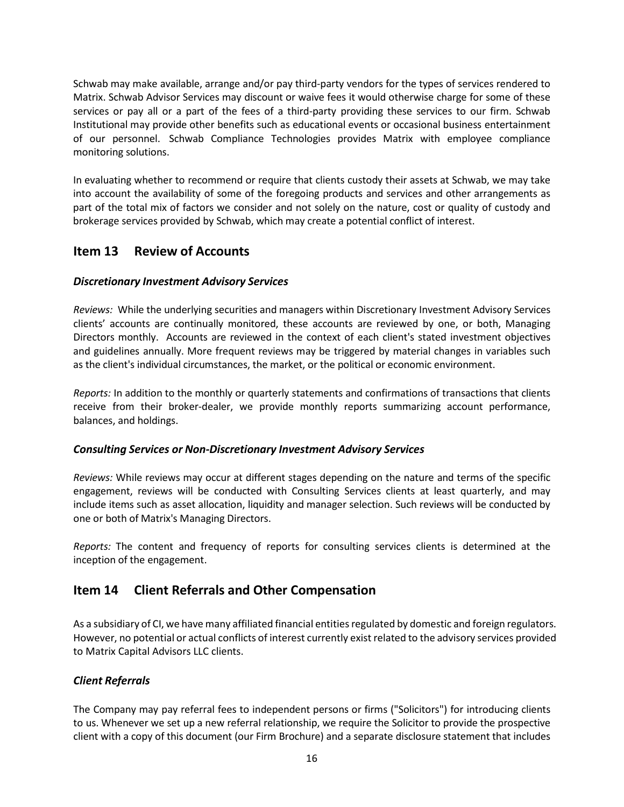Schwab may make available, arrange and/or pay third-party vendors for the types of services rendered to Matrix. Schwab Advisor Services may discount or waive fees it would otherwise charge for some of these services or pay all or a part of the fees of a third-party providing these services to our firm. Schwab Institutional may provide other benefits such as educational events or occasional business entertainment of our personnel. Schwab Compliance Technologies provides Matrix with employee compliance monitoring solutions.

In evaluating whether to recommend or require that clients custody their assets at Schwab, we may take into account the availability of some of the foregoing products and services and other arrangements as part of the total mix of factors we consider and not solely on the nature, cost or quality of custody and brokerage services provided by Schwab, which may create a potential conflict of interest.

## <span id="page-15-0"></span>**Item 13 Review of Accounts**

### *Discretionary Investment Advisory Services*

*Reviews:* While the underlying securities and managers within Discretionary Investment Advisory Services clients' accounts are continually monitored, these accounts are reviewed by one, or both, Managing Directors monthly. Accounts are reviewed in the context of each client's stated investment objectives and guidelines annually. More frequent reviews may be triggered by material changes in variables such as the client's individual circumstances, the market, or the political or economic environment.

*Reports:* In addition to the monthly or quarterly statements and confirmations of transactions that clients receive from their broker-dealer, we provide monthly reports summarizing account performance, balances, and holdings.

#### *Consulting Services or Non-Discretionary Investment Advisory Services*

*Reviews:* While reviews may occur at different stages depending on the nature and terms of the specific engagement, reviews will be conducted with Consulting Services clients at least quarterly, and may include items such as asset allocation, liquidity and manager selection. Such reviews will be conducted by one or both of Matrix's Managing Directors.

*Reports:* The content and frequency of reports for consulting services clients is determined at the inception of the engagement.

## <span id="page-15-1"></span>**Item 14 Client Referrals and Other Compensation**

As a subsidiary of CI, we have many affiliated financial entities regulated by domestic and foreign regulators. However, no potential or actual conflicts of interest currently exist related to the advisory services provided to Matrix Capital Advisors LLC clients.

### *Client Referrals*

The Company may pay referral fees to independent persons or firms ("Solicitors") for introducing clients to us. Whenever we set up a new referral relationship, we require the Solicitor to provide the prospective client with a copy of this document (our Firm Brochure) and a separate disclosure statement that includes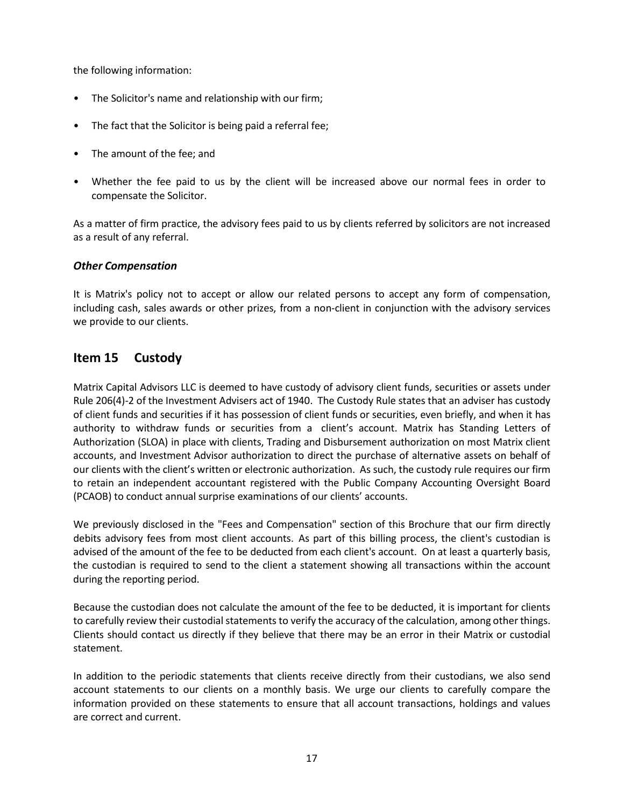the following information:

- The Solicitor's name and relationship with our firm;
- The fact that the Solicitor is being paid a referral fee;
- The amount of the fee; and
- Whether the fee paid to us by the client will be increased above our normal fees in order to compensate the Solicitor.

As a matter of firm practice, the advisory fees paid to us by clients referred by solicitors are not increased as a result of any referral.

### *Other Compensation*

It is Matrix's policy not to accept or allow our related persons to accept any form of compensation, including cash, sales awards or other prizes, from a non-client in conjunction with the advisory services we provide to our clients.

## <span id="page-16-0"></span>**Item 15 Custody**

Matrix Capital Advisors LLC is deemed to have custody of advisory client funds, securities or assets under Rule 206(4)-2 of the Investment Advisers act of 1940. The Custody Rule states that an adviser has custody of client funds and securities if it has possession of client funds or securities, even briefly, and when it has authority to withdraw funds or securities from a client's account. Matrix has Standing Letters of Authorization (SLOA) in place with clients, Trading and Disbursement authorization on most Matrix client accounts, and Investment Advisor authorization to direct the purchase of alternative assets on behalf of our clients with the client's written or electronic authorization. As such, the custody rule requires our firm to retain an independent accountant registered with the Public Company Accounting Oversight Board (PCAOB) to conduct annual surprise examinations of our clients' accounts.

We previously disclosed in the "Fees and Compensation" section of this Brochure that our firm directly debits advisory fees from most client accounts. As part of this billing process, the client's custodian is advised of the amount of the fee to be deducted from each client's account. On at least a quarterly basis, the custodian is required to send to the client a statement showing all transactions within the account during the reporting period.

Because the custodian does not calculate the amount of the fee to be deducted, it is important for clients to carefully review their custodial statements to verify the accuracy of the calculation, among other things. Clients should contact us directly if they believe that there may be an error in their Matrix or custodial statement.

In addition to the periodic statements that clients receive directly from their custodians, we also send account statements to our clients on a monthly basis. We urge our clients to carefully compare the information provided on these statements to ensure that all account transactions, holdings and values are correct and current.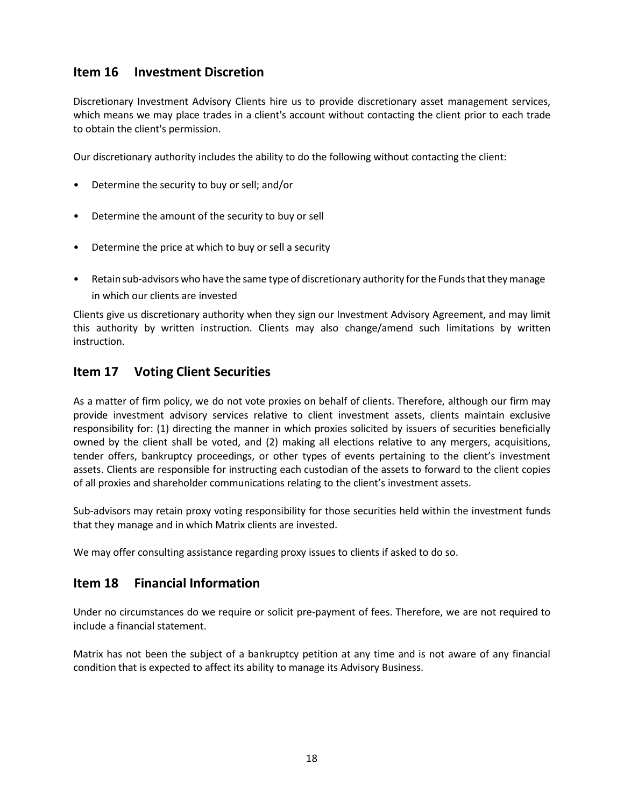## <span id="page-17-0"></span>**Item 16 Investment Discretion**

Discretionary Investment Advisory Clients hire us to provide discretionary asset management services, which means we may place trades in a client's account without contacting the client prior to each trade to obtain the client's permission.

Our discretionary authority includes the ability to do the following without contacting the client:

- Determine the security to buy or sell; and/or
- Determine the amount of the security to buy or sell
- Determine the price at which to buy or sell a security
- Retain sub-advisors who have the same type of discretionary authority for the Funds that they manage in which our clients are invested

Clients give us discretionary authority when they sign our Investment Advisory Agreement, and may limit this authority by written instruction. Clients may also change/amend such limitations by written instruction.

## <span id="page-17-1"></span>**Item 17 Voting Client Securities**

As a matter of firm policy, we do not vote proxies on behalf of clients. Therefore, although our firm may provide investment advisory services relative to client investment assets, clients maintain exclusive responsibility for: (1) directing the manner in which proxies solicited by issuers of securities beneficially owned by the client shall be voted, and (2) making all elections relative to any mergers, acquisitions, tender offers, bankruptcy proceedings, or other types of events pertaining to the client's investment assets. Clients are responsible for instructing each custodian of the assets to forward to the client copies of all proxies and shareholder communications relating to the client's investment assets.

Sub-advisors may retain proxy voting responsibility for those securities held within the investment funds that they manage and in which Matrix clients are invested.

We may offer consulting assistance regarding proxy issues to clients if asked to do so.

### <span id="page-17-2"></span>**Item 18 Financial Information**

Under no circumstances do we require or solicit pre-payment of fees. Therefore, we are not required to include a financial statement.

Matrix has not been the subject of a bankruptcy petition at any time and is not aware of any financial condition that is expected to affect its ability to manage its Advisory Business.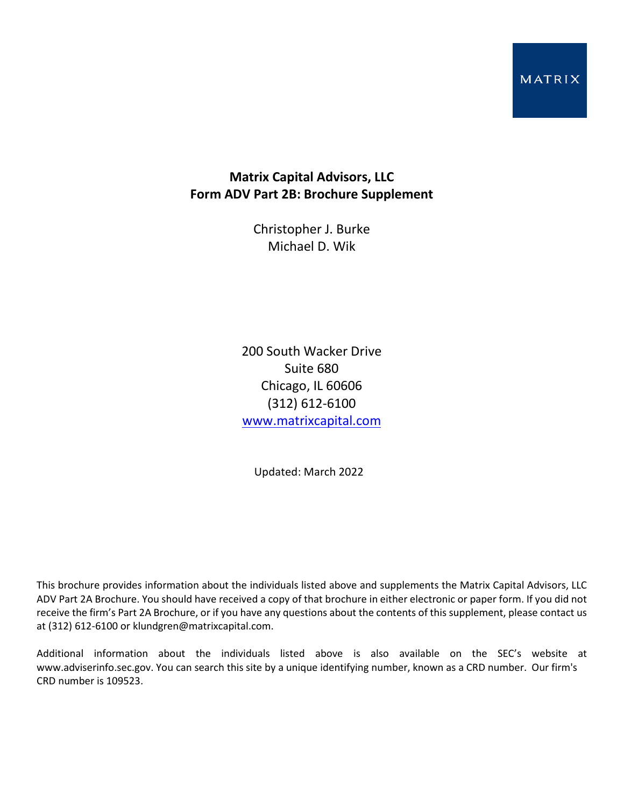### MATRIX

## **Matrix Capital Advisors, LLC Form ADV Part 2B: Brochure Supplement**

Christopher J. Burke Michael D. Wik

200 South Wacker Drive Suite 680 Chicago, IL 60606 (312) 612-6100 [www.matrixcapital.com](http://www.matrixcapital.com/)

Updated: March 2022

This brochure provides information about the individuals listed above and supplements the Matrix Capital Advisors, LLC ADV Part 2A Brochure. You should have received a copy of that brochure in either electronic or paper form. If you did not receive the firm's Part 2A Brochure, or if you have any questions about the contents of this supplement, please contact us at (312) 612-6100 or klundgren@matrixcapital.com.

Additional information about the individuals listed above is also available on the SEC's website at www.adviserinfo.sec.gov. You can search this site by a unique identifying number, known as a CRD number. Our firm's CRD number is 109523.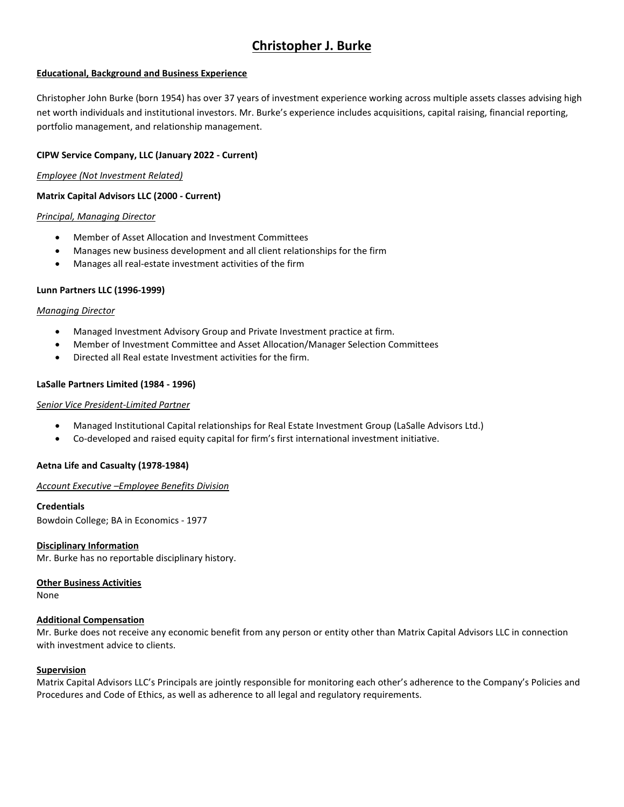# **Christopher J. Burke**

#### **Educational, Background and Business Experience**

Christopher John Burke (born 1954) has over 37 years of investment experience working across multiple assets classes advising high net worth individuals and institutional investors. Mr. Burke's experience includes acquisitions, capital raising, financial reporting, portfolio management, and relationship management.

#### **CIPW Service Company, LLC (January 2022 - Current)**

*Employee (Not Investment Related)*

#### **Matrix Capital Advisors LLC (2000 - Current)**

#### *Principal, Managing Director*

- Member of Asset Allocation and Investment Committees
- Manages new business development and all client relationships for the firm
- Manages all real-estate investment activities of the firm

#### **Lunn Partners LLC (1996-1999)**

#### *Managing Director*

- Managed Investment Advisory Group and Private Investment practice at firm.
- Member of Investment Committee and Asset Allocation/Manager Selection Committees
- Directed all Real estate Investment activities for the firm.

#### **LaSalle Partners Limited (1984 - 1996)**

#### *Senior Vice President-Limited Partner*

- Managed Institutional Capital relationships for Real Estate Investment Group (LaSalle Advisors Ltd.)
- Co-developed and raised equity capital for firm's first international investment initiative.

#### **Aetna Life and Casualty (1978-1984)**

#### *Account Executive –Employee Benefits Division*

#### **Credentials**

Bowdoin College; BA in Economics - 1977

#### **Disciplinary Information**

Mr. Burke has no reportable disciplinary history.

#### **Other Business Activities**

None

#### **Additional Compensation**

Mr. Burke does not receive any economic benefit from any person or entity other than Matrix Capital Advisors LLC in connection with investment advice to clients.

#### **Supervision**

Matrix Capital Advisors LLC's Principals are jointly responsible for monitoring each other's adherence to the Company's Policies and Procedures and Code of Ethics, as well as adherence to all legal and regulatory requirements.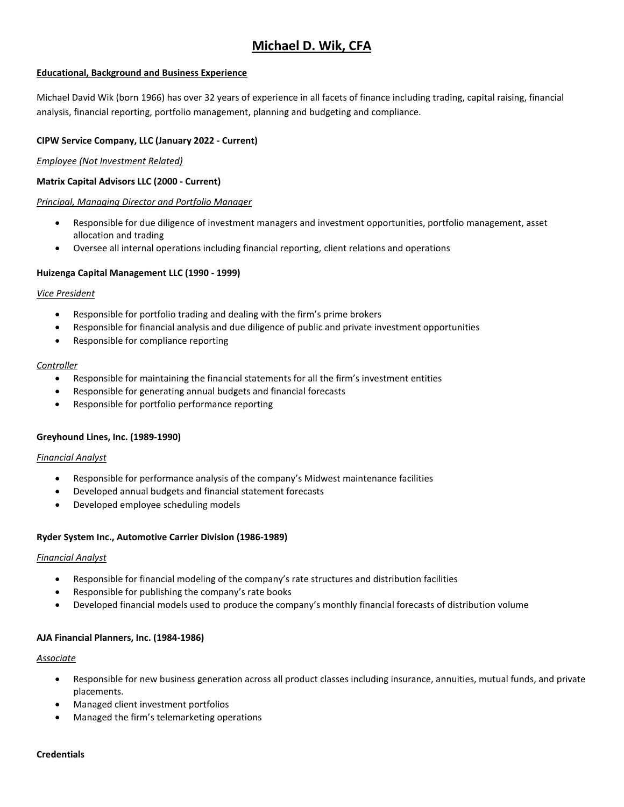# **Michael D. Wik, CFA**

#### **Educational, Background and Business Experience**

Michael David Wik (born 1966) has over 32 years of experience in all facets of finance including trading, capital raising, financial analysis, financial reporting, portfolio management, planning and budgeting and compliance.

#### **CIPW Service Company, LLC (January 2022 - Current)**

#### *Employee (Not Investment Related)*

#### **Matrix Capital Advisors LLC (2000 - Current)**

#### *Principal, Managing Director and Portfolio Manager*

- Responsible for due diligence of investment managers and investment opportunities, portfolio management, asset allocation and trading
- Oversee all internal operations including financial reporting, client relations and operations

#### **Huizenga Capital Management LLC (1990 - 1999)**

#### *Vice President*

- Responsible for portfolio trading and dealing with the firm's prime brokers
- Responsible for financial analysis and due diligence of public and private investment opportunities
- Responsible for compliance reporting

#### *Controller*

- Responsible for maintaining the financial statements for all the firm's investment entities
- Responsible for generating annual budgets and financial forecasts
- Responsible for portfolio performance reporting

#### **Greyhound Lines, Inc. (1989-1990)**

#### *Financial Analyst*

- Responsible for performance analysis of the company's Midwest maintenance facilities
- Developed annual budgets and financial statement forecasts
- Developed employee scheduling models

#### **Ryder System Inc., Automotive Carrier Division (1986-1989)**

#### *Financial Analyst*

- Responsible for financial modeling of the company's rate structures and distribution facilities
- Responsible for publishing the company's rate books
- Developed financial models used to produce the company's monthly financial forecasts of distribution volume

#### **AJA Financial Planners, Inc. (1984-1986)**

#### *Associate*

- Responsible for new business generation across all product classes including insurance, annuities, mutual funds, and private placements.
- Managed client investment portfolios
- Managed the firm's telemarketing operations

#### **Credentials**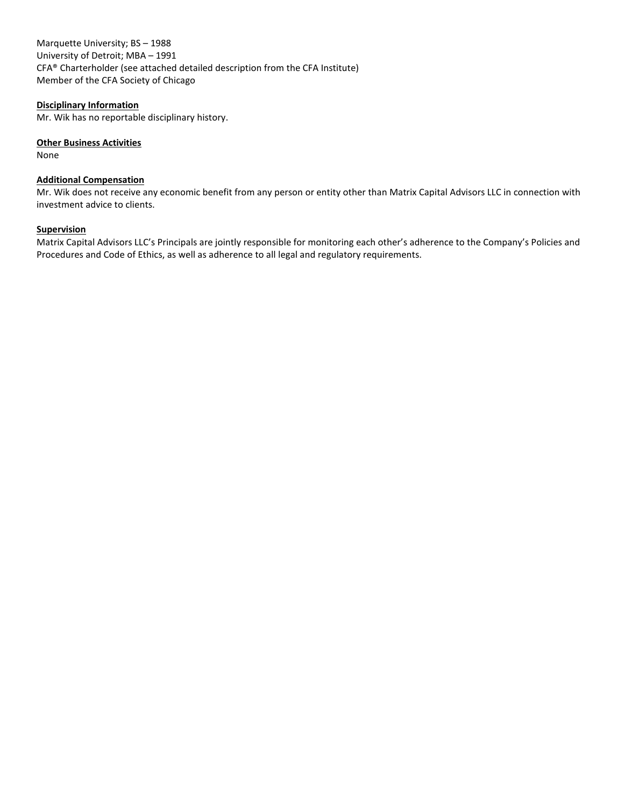Marquette University; BS – 1988 University of Detroit; MBA – 1991 CFA® Charterholder (see attached detailed description from the CFA Institute) Member of the CFA Society of Chicago

#### **Disciplinary Information**

Mr. Wik has no reportable disciplinary history.

#### **Other Business Activities**

None

#### **Additional Compensation**

Mr. Wik does not receive any economic benefit from any person or entity other than Matrix Capital Advisors LLC in connection with investment advice to clients.

#### **Supervision**

Matrix Capital Advisors LLC's Principals are jointly responsible for monitoring each other's adherence to the Company's Policies and Procedures and Code of Ethics, as well as adherence to all legal and regulatory requirements.